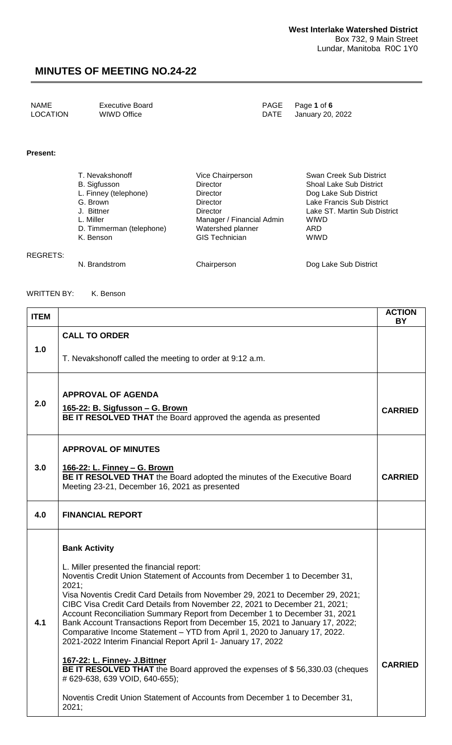| <b>NAME</b><br>PAGE Page 1 of 6<br><b>Executive Board</b><br><b>LOCATION</b><br>WIWD Office<br>DATE January 20, 2022 |
|----------------------------------------------------------------------------------------------------------------------|
|----------------------------------------------------------------------------------------------------------------------|

#### **Present:**

| T. Nevakshonoff          | Vice Chairperson          | Swan Creek Sub District        |
|--------------------------|---------------------------|--------------------------------|
| B. Sigfusson             | <b>Director</b>           | <b>Shoal Lake Sub District</b> |
| L. Finney (telephone)    | <b>Director</b>           | Dog Lake Sub District          |
| G. Brown                 | <b>Director</b>           | Lake Francis Sub District      |
| J. Bittner               | <b>Director</b>           | Lake ST. Martin Sub District   |
| L. Miller                | Manager / Financial Admin | <b>WIWD</b>                    |
| D. Timmerman (telephone) | Watershed planner         | ARD                            |
| K. Benson                | <b>GIS Technician</b>     | <b>WIWD</b>                    |
|                          |                           |                                |

REGRETS:

N. Brandstrom **Chairperson** Chairperson Dog Lake Sub District

#### WRITTEN BY: K. Benson

| <b>ITEM</b> |                                                                                                                                                                                                                                                                                                                                                                                                                                                                                                                                                                                                                                                                                                                                                                                                                                                                                 | <b>ACTION</b><br><b>BY</b> |
|-------------|---------------------------------------------------------------------------------------------------------------------------------------------------------------------------------------------------------------------------------------------------------------------------------------------------------------------------------------------------------------------------------------------------------------------------------------------------------------------------------------------------------------------------------------------------------------------------------------------------------------------------------------------------------------------------------------------------------------------------------------------------------------------------------------------------------------------------------------------------------------------------------|----------------------------|
|             | <b>CALL TO ORDER</b>                                                                                                                                                                                                                                                                                                                                                                                                                                                                                                                                                                                                                                                                                                                                                                                                                                                            |                            |
| 1.0         | T. Nevakshonoff called the meeting to order at 9:12 a.m.                                                                                                                                                                                                                                                                                                                                                                                                                                                                                                                                                                                                                                                                                                                                                                                                                        |                            |
| 2.0         | <b>APPROVAL OF AGENDA</b><br><u> 165-22: B. Sigfusson – G. Brown</u><br>BE IT RESOLVED THAT the Board approved the agenda as presented                                                                                                                                                                                                                                                                                                                                                                                                                                                                                                                                                                                                                                                                                                                                          | <b>CARRIED</b>             |
|             | <b>APPROVAL OF MINUTES</b>                                                                                                                                                                                                                                                                                                                                                                                                                                                                                                                                                                                                                                                                                                                                                                                                                                                      |                            |
| 3.0         | 166-22: L. Finney - G. Brown<br>BE IT RESOLVED THAT the Board adopted the minutes of the Executive Board<br>Meeting 23-21, December 16, 2021 as presented                                                                                                                                                                                                                                                                                                                                                                                                                                                                                                                                                                                                                                                                                                                       | <b>CARRIED</b>             |
| 4.0         | <b>FINANCIAL REPORT</b>                                                                                                                                                                                                                                                                                                                                                                                                                                                                                                                                                                                                                                                                                                                                                                                                                                                         |                            |
| 4.1         | <b>Bank Activity</b><br>L. Miller presented the financial report:<br>Noventis Credit Union Statement of Accounts from December 1 to December 31,<br>2021;<br>Visa Noventis Credit Card Details from November 29, 2021 to December 29, 2021;<br>CIBC Visa Credit Card Details from November 22, 2021 to December 21, 2021;<br>Account Reconciliation Summary Report from December 1 to December 31, 2021<br>Bank Account Transactions Report from December 15, 2021 to January 17, 2022;<br>Comparative Income Statement - YTD from April 1, 2020 to January 17, 2022.<br>2021-2022 Interim Financial Report April 1- January 17, 2022<br>167-22: L. Finney- J. Bittner<br>BE IT RESOLVED THAT the Board approved the expenses of \$56,330.03 (cheques<br># 629-638, 639 VOID, 640-655);<br>Noventis Credit Union Statement of Accounts from December 1 to December 31,<br>2021; | <b>CARRIED</b>             |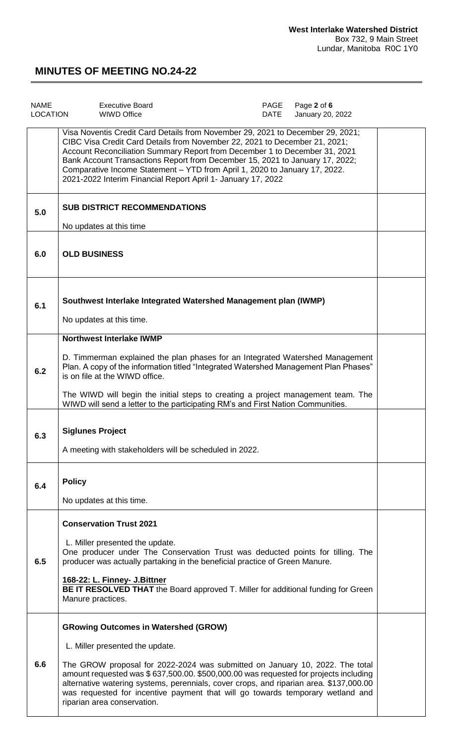| <b>NAME</b><br><b>LOCATION</b> | <b>Executive Board</b><br><b>WIWD Office</b>                                                                                                                                                                                                                                                                                                                                                                                                                             | PAGE<br>DATE | Page 2 of 6<br>January 20, 2022 |  |
|--------------------------------|--------------------------------------------------------------------------------------------------------------------------------------------------------------------------------------------------------------------------------------------------------------------------------------------------------------------------------------------------------------------------------------------------------------------------------------------------------------------------|--------------|---------------------------------|--|
|                                | Visa Noventis Credit Card Details from November 29, 2021 to December 29, 2021;<br>CIBC Visa Credit Card Details from November 22, 2021 to December 21, 2021;<br>Account Reconciliation Summary Report from December 1 to December 31, 2021<br>Bank Account Transactions Report from December 15, 2021 to January 17, 2022;<br>Comparative Income Statement - YTD from April 1, 2020 to January 17, 2022.<br>2021-2022 Interim Financial Report April 1- January 17, 2022 |              |                                 |  |
| 5.0                            | <b>SUB DISTRICT RECOMMENDATIONS</b><br>No updates at this time                                                                                                                                                                                                                                                                                                                                                                                                           |              |                                 |  |
| 6.0                            | <b>OLD BUSINESS</b>                                                                                                                                                                                                                                                                                                                                                                                                                                                      |              |                                 |  |
| 6.1                            | Southwest Interlake Integrated Watershed Management plan (IWMP)<br>No updates at this time.                                                                                                                                                                                                                                                                                                                                                                              |              |                                 |  |
| 6.2                            | <b>Northwest Interlake IWMP</b><br>D. Timmerman explained the plan phases for an Integrated Watershed Management<br>Plan. A copy of the information titled "Integrated Watershed Management Plan Phases"<br>is on file at the WIWD office.<br>The WIWD will begin the initial steps to creating a project management team. The<br>WIWD will send a letter to the participating RM's and First Nation Communities.                                                        |              |                                 |  |
| 6.3                            | <b>Siglunes Project</b><br>A meeting with stakeholders will be scheduled in 2022.                                                                                                                                                                                                                                                                                                                                                                                        |              |                                 |  |
| 6.4                            | <b>Policy</b><br>No updates at this time.                                                                                                                                                                                                                                                                                                                                                                                                                                |              |                                 |  |
| 6.5                            | <b>Conservation Trust 2021</b><br>L. Miller presented the update.<br>One producer under The Conservation Trust was deducted points for tilling. The<br>producer was actually partaking in the beneficial practice of Green Manure.<br>168-22: L. Finney- J. Bittner<br><b>BE IT RESOLVED THAT</b> the Board approved T. Miller for additional funding for Green<br>Manure practices.                                                                                     |              |                                 |  |
| 6.6                            | <b>GRowing Outcomes in Watershed (GROW)</b><br>L. Miller presented the update.<br>The GROW proposal for 2022-2024 was submitted on January 10, 2022. The total<br>amount requested was \$637,500.00. \$500,000.00 was requested for projects including<br>alternative watering systems, perennials, cover crops, and riparian area. \$137,000.00<br>was requested for incentive payment that will go towards temporary wetland and<br>riparian area conservation.        |              |                                 |  |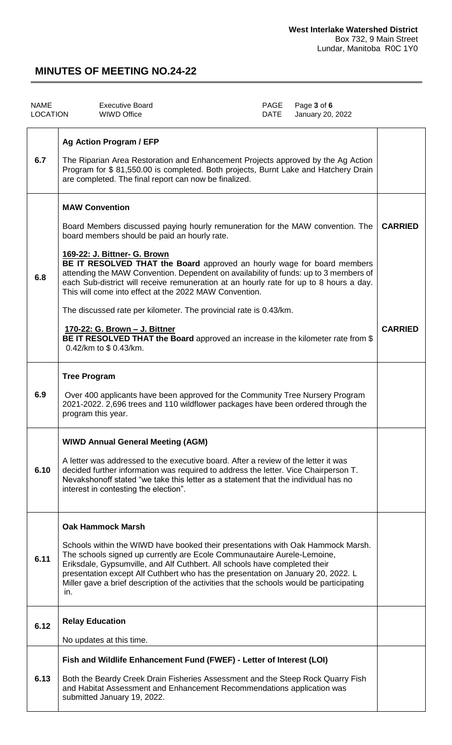| <b>NAME</b><br><b>LOCATION</b> | <b>Executive Board</b><br><b>WIWD Office</b>                                                                                                                                                                                                                                                                                                                                                                                                                                                                                                                                                                                                                                                                                             | PAGE<br><b>DATE</b> | Page 3 of 6<br>January 20, 2022 |                                  |
|--------------------------------|------------------------------------------------------------------------------------------------------------------------------------------------------------------------------------------------------------------------------------------------------------------------------------------------------------------------------------------------------------------------------------------------------------------------------------------------------------------------------------------------------------------------------------------------------------------------------------------------------------------------------------------------------------------------------------------------------------------------------------------|---------------------|---------------------------------|----------------------------------|
| 6.7                            | <b>Ag Action Program / EFP</b><br>The Riparian Area Restoration and Enhancement Projects approved by the Ag Action<br>Program for \$81,550.00 is completed. Both projects, Burnt Lake and Hatchery Drain<br>are completed. The final report can now be finalized.                                                                                                                                                                                                                                                                                                                                                                                                                                                                        |                     |                                 |                                  |
| 6.8                            | <b>MAW Convention</b><br>Board Members discussed paying hourly remuneration for the MAW convention. The<br>board members should be paid an hourly rate.<br>169-22: J. Bittner- G. Brown<br>BE IT RESOLVED THAT the Board approved an hourly wage for board members<br>attending the MAW Convention. Dependent on availability of funds: up to 3 members of<br>each Sub-district will receive remuneration at an hourly rate for up to 8 hours a day.<br>This will come into effect at the 2022 MAW Convention.<br>The discussed rate per kilometer. The provincial rate is 0.43/km.<br><u>170-22: G. Brown - J. Bittner</u><br>BE IT RESOLVED THAT the Board approved an increase in the kilometer rate from \$<br>0.42/km to \$0.43/km. |                     |                                 | <b>CARRIED</b><br><b>CARRIED</b> |
| 6.9                            | <b>Tree Program</b><br>Over 400 applicants have been approved for the Community Tree Nursery Program<br>2021-2022. 2,696 trees and 110 wildflower packages have been ordered through the<br>program this year.                                                                                                                                                                                                                                                                                                                                                                                                                                                                                                                           |                     |                                 |                                  |
| 6.10                           | <b>WIWD Annual General Meeting (AGM)</b><br>A letter was addressed to the executive board. After a review of the letter it was<br>decided further information was required to address the letter. Vice Chairperson T.<br>Nevakshonoff stated "we take this letter as a statement that the individual has no<br>interest in contesting the election".                                                                                                                                                                                                                                                                                                                                                                                     |                     |                                 |                                  |
| 6.11                           | <b>Oak Hammock Marsh</b><br>Schools within the WIWD have booked their presentations with Oak Hammock Marsh.<br>The schools signed up currently are Ecole Communautaire Aurele-Lemoine,<br>Eriksdale, Gypsumville, and Alf Cuthbert. All schools have completed their<br>presentation except Alf Cuthbert who has the presentation on January 20, 2022. L<br>Miller gave a brief description of the activities that the schools would be participating<br>in.                                                                                                                                                                                                                                                                             |                     |                                 |                                  |
| 6.12                           | <b>Relay Education</b><br>No updates at this time.                                                                                                                                                                                                                                                                                                                                                                                                                                                                                                                                                                                                                                                                                       |                     |                                 |                                  |
| 6.13                           | Fish and Wildlife Enhancement Fund (FWEF) - Letter of Interest (LOI)<br>Both the Beardy Creek Drain Fisheries Assessment and the Steep Rock Quarry Fish<br>and Habitat Assessment and Enhancement Recommendations application was<br>submitted January 19, 2022.                                                                                                                                                                                                                                                                                                                                                                                                                                                                         |                     |                                 |                                  |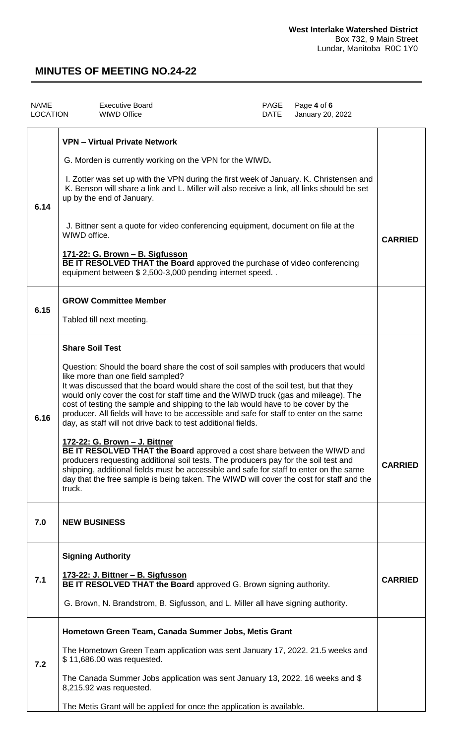| <b>NAME</b><br><b>LOCATION</b> | <b>Executive Board</b><br><b>WIWD Office</b>                                                                                                                                                                                                                                                                                                                                                                                                                                                                                                                                                                                                                                                                                                                                                                                                                                                                                                                                              | <b>PAGE</b><br><b>DATE</b> | Page 4 of 6<br>January 20, 2022 |                |
|--------------------------------|-------------------------------------------------------------------------------------------------------------------------------------------------------------------------------------------------------------------------------------------------------------------------------------------------------------------------------------------------------------------------------------------------------------------------------------------------------------------------------------------------------------------------------------------------------------------------------------------------------------------------------------------------------------------------------------------------------------------------------------------------------------------------------------------------------------------------------------------------------------------------------------------------------------------------------------------------------------------------------------------|----------------------------|---------------------------------|----------------|
| 6.14                           | <b>VPN - Virtual Private Network</b><br>G. Morden is currently working on the VPN for the WIWD.<br>I. Zotter was set up with the VPN during the first week of January. K. Christensen and<br>K. Benson will share a link and L. Miller will also receive a link, all links should be set<br>up by the end of January.<br>J. Bittner sent a quote for video conferencing equipment, document on file at the<br>WIWD office.<br><u> 171-22: G. Brown – B. Sigfusson</u><br>BE IT RESOLVED THAT the Board approved the purchase of video conferencing<br>equipment between \$2,500-3,000 pending internet speed                                                                                                                                                                                                                                                                                                                                                                              |                            |                                 | <b>CARRIED</b> |
| 6.15                           | <b>GROW Committee Member</b><br>Tabled till next meeting.                                                                                                                                                                                                                                                                                                                                                                                                                                                                                                                                                                                                                                                                                                                                                                                                                                                                                                                                 |                            |                                 |                |
| 6.16                           | <b>Share Soil Test</b><br>Question: Should the board share the cost of soil samples with producers that would<br>like more than one field sampled?<br>It was discussed that the board would share the cost of the soil test, but that they<br>would only cover the cost for staff time and the WIWD truck (gas and mileage). The<br>cost of testing the sample and shipping to the lab would have to be cover by the<br>producer. All fields will have to be accessible and safe for staff to enter on the same<br>day, as staff will not drive back to test additional fields.<br><u>172-22: G. Brown - J. Bittner</u><br>BE IT RESOLVED THAT the Board approved a cost share between the WIWD and<br>producers requesting additional soil tests. The producers pay for the soil test and<br>shipping, additional fields must be accessible and safe for staff to enter on the same<br>day that the free sample is being taken. The WIWD will cover the cost for staff and the<br>truck. |                            |                                 | <b>CARRIED</b> |
| 7.0                            | <b>NEW BUSINESS</b>                                                                                                                                                                                                                                                                                                                                                                                                                                                                                                                                                                                                                                                                                                                                                                                                                                                                                                                                                                       |                            |                                 |                |
| 7.1                            | <b>Signing Authority</b><br>173-22: J. Bittner - B. Sigfusson<br>BE IT RESOLVED THAT the Board approved G. Brown signing authority.<br>G. Brown, N. Brandstrom, B. Sigfusson, and L. Miller all have signing authority.                                                                                                                                                                                                                                                                                                                                                                                                                                                                                                                                                                                                                                                                                                                                                                   |                            |                                 | <b>CARRIED</b> |
| 7.2                            | Hometown Green Team, Canada Summer Jobs, Metis Grant<br>The Hometown Green Team application was sent January 17, 2022. 21.5 weeks and<br>\$11,686.00 was requested.<br>The Canada Summer Jobs application was sent January 13, 2022. 16 weeks and \$<br>8,215.92 was requested.<br>The Metis Grant will be applied for once the application is available.                                                                                                                                                                                                                                                                                                                                                                                                                                                                                                                                                                                                                                 |                            |                                 |                |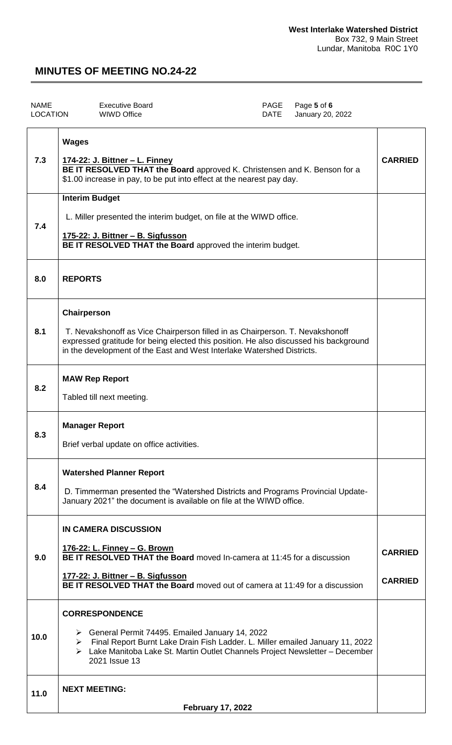| NAME     | <b>Executive Board</b> | PAGE Page 5 of 6      |
|----------|------------------------|-----------------------|
| LOCATION | WIWD Office            | DATE January 20, 2022 |

| 7.3  | <b>Wages</b><br><u> 174-22: J. Bittner – L. Finney</u><br>BE IT RESOLVED THAT the Board approved K. Christensen and K. Benson for a<br>\$1.00 increase in pay, to be put into effect at the nearest pay day.                                                             | <b>CARRIED</b>                   |
|------|--------------------------------------------------------------------------------------------------------------------------------------------------------------------------------------------------------------------------------------------------------------------------|----------------------------------|
| 7.4  | <b>Interim Budget</b><br>L. Miller presented the interim budget, on file at the WIWD office.<br>175-22: J. Bittner - B. Sigfusson<br>BE IT RESOLVED THAT the Board approved the interim budget.                                                                          |                                  |
| 8.0  | <b>REPORTS</b>                                                                                                                                                                                                                                                           |                                  |
| 8.1  | Chairperson<br>T. Nevakshonoff as Vice Chairperson filled in as Chairperson. T. Nevakshonoff<br>expressed gratitude for being elected this position. He also discussed his background<br>in the development of the East and West Interlake Watershed Districts.          |                                  |
| 8.2  | <b>MAW Rep Report</b><br>Tabled till next meeting.                                                                                                                                                                                                                       |                                  |
| 8.3  | <b>Manager Report</b><br>Brief verbal update on office activities.                                                                                                                                                                                                       |                                  |
| 8.4  | <b>Watershed Planner Report</b><br>D. Timmerman presented the "Watershed Districts and Programs Provincial Update-<br>January 2021" the document is available on file at the WIWD office.                                                                                |                                  |
| 9.0  | <b>IN CAMERA DISCUSSION</b><br>176-22: L. Finney - G. Brown<br><b>BE IT RESOLVED THAT the Board</b> moved In-camera at 11:45 for a discussion<br>177-22: J. Bittner - B. Sigfusson<br><b>BE IT RESOLVED THAT the Board</b> moved out of camera at 11:49 for a discussion | <b>CARRIED</b><br><b>CARRIED</b> |
| 10.0 | <b>CORRESPONDENCE</b><br>> General Permit 74495. Emailed January 14, 2022<br>> Final Report Burnt Lake Drain Fish Ladder. L. Miller emailed January 11, 2022<br>> Lake Manitoba Lake St. Martin Outlet Channels Project Newsletter - December<br>2021 Issue 13           |                                  |
| 11.0 | <b>NEXT MEETING:</b><br><b>February 17, 2022</b>                                                                                                                                                                                                                         |                                  |